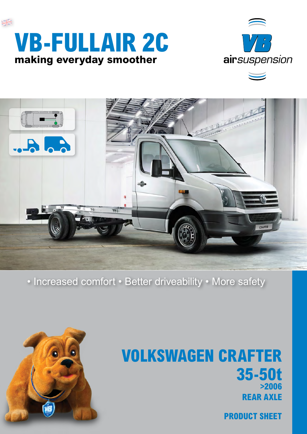





### • Increased comfort • Better driveability • More safety



## **Volkswagen crafter 35-50t >2006 rear axle**

**product sheet**